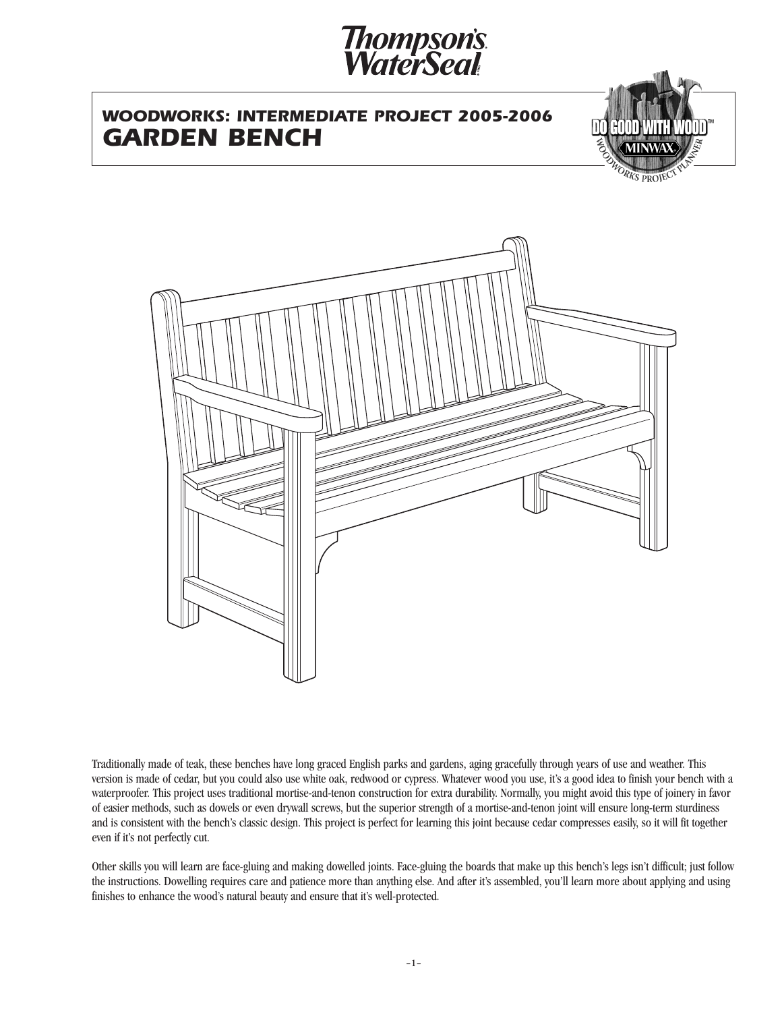# *Thompson's<br>WaterSeal*

# *WOODWORKS: INTERMEDIATE PROJECT 2005-2006 GARDEN BENCH*





Traditionally made of teak, these benches have long graced English parks and gardens, aging gracefully through years of use and weather. This version is made of cedar, but you could also use white oak, redwood or cypress. Whatever wood you use, it's a good idea to finish your bench with a waterproofer. This project uses traditional mortise-and-tenon construction for extra durability. Normally, you might avoid this type of joinery in favor of easier methods, such as dowels or even drywall screws, but the superior strength of a mortise-and-tenon joint will ensure long-term sturdiness and is consistent with the bench's classic design. This project is perfect for learning this joint because cedar compresses easily, so it will fit together even if it's not perfectly cut.

Other skills you will learn are face-gluing and making dowelled joints. Face-gluing the boards that make up this bench's legs isn't difficult; just follow the instructions. Dowelling requires care and patience more than anything else. And after it's assembled, you'll learn more about applying and using finishes to enhance the wood's natural beauty and ensure that it's well-protected.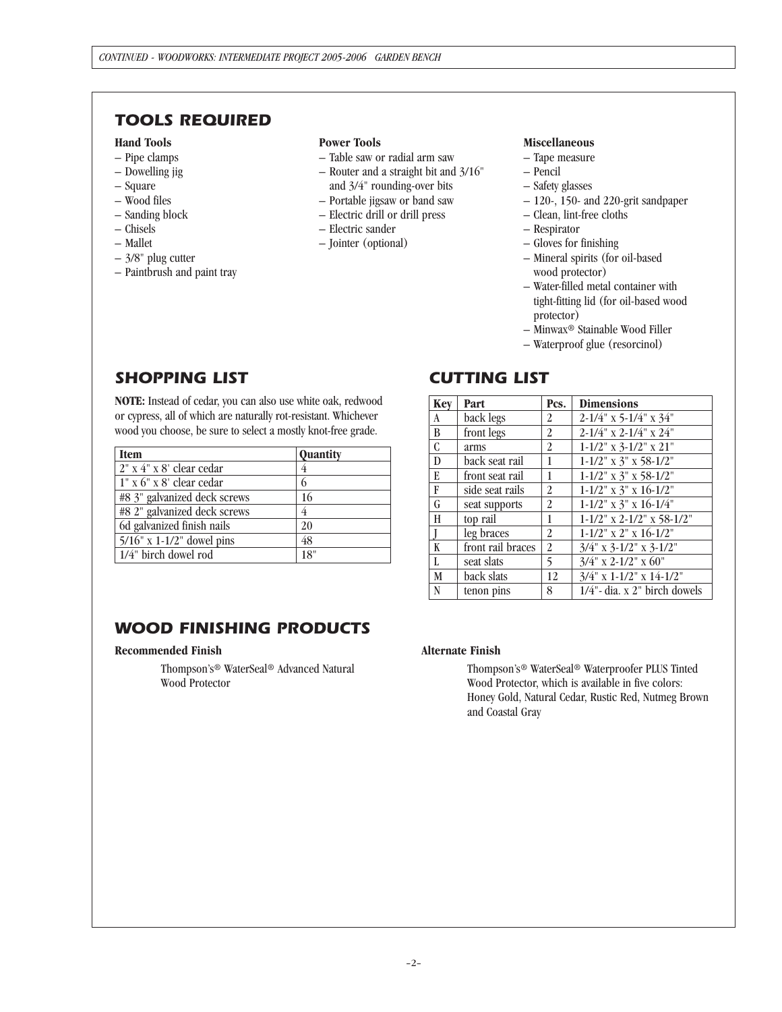## *TOOLS REQUIRED*

## **Hand Tools**

- Pipe clamps
- Dowelling jig
- Square
- Wood files
- Sanding block
- Chisels
- Mallet
- 3/8" plug cutter
- Paintbrush and paint tray

#### **Power Tools**

- Table saw or radial arm saw
- Router and a straight bit and 3/16" and 3/4" rounding-over bits
- Portable jigsaw or band saw
- Electric drill or drill press
- Electric sander
- Jointer (optional)

## **Miscellaneous**

- Tape measure
- Pencil
- Safety glasses
- 120-, 150- and 220-grit sandpaper
- Clean, lint-free cloths
- Respirator
- Gloves for finishing
- Mineral spirits (for oil-based wood protector)
- Water-filled metal container with tight-fitting lid (for oil-based wood protector)
- Minwax® Stainable Wood Filler
- Waterproof glue (resorcinol)

# *SHOPPING LIST*

**NOTE:** Instead of cedar, you can also use white oak, redwood or cypress, all of which are naturally rot-resistant. Whichever wood you choose, be sure to select a mostly knot-free grade.

| <b>Item</b>                  | <b>Quantity</b> |
|------------------------------|-----------------|
| 2" x 4" x 8' clear cedar     |                 |
| 1" x 6" x 8' clear cedar     | 6               |
| #8 3" galvanized deck screws | 16              |
| #8 2" galvanized deck screws |                 |
| 6d galvanized finish nails   | 20              |
| $5/16$ " x 1-1/2" dowel pins | 48              |
| 1/4" birch dowel rod         | 18"             |

# *WOOD FINISHING PRODUCTS*

## **Recommended Finish**

Thompson's® WaterSeal® Advanced Natural Wood Protector

## *CUTTING LIST*

| Key                       | Part              | Pcs.           | <b>Dimensions</b>                   |
|---------------------------|-------------------|----------------|-------------------------------------|
| A                         | back legs         | 2              | $2 - 1/4$ " x 5-1/4" x 34"          |
| B                         | front legs        | 2              | $2 - 1/4$ " x $2 - 1/4$ " x $24$ "  |
| $\overline{\mathfrak{c}}$ | arms              | 2              | $1-1/2$ " x 3-1/2" x 21"            |
| $\overline{\mathbf{D}}$   | back seat rail    | 1              | $1-1/2$ " x 3" x 58-1/2"            |
| E                         | front seat rail   | 1              | $1 - 1/2$ " x 3" x 58-1/2"          |
| F                         | side seat rails   | 2              | $1-1/2$ " x 3" x $16-1/2$ "         |
| G                         | seat supports     | 2              | $1-1/2$ " x 3" x $16-1/4$ "         |
| H                         | top rail          | 1              | $1 - 1/2$ " x $2 - 1/2$ " x 58-1/2" |
| Ī                         | leg braces        | $\overline{2}$ | $1-1/2$ " x 2" x $16-1/2$ "         |
| K                         | front rail braces | $\overline{2}$ | $3/4$ " x $3-1/2$ " x $3-1/2$ "     |
| $\overline{L}$            | seat slats        | 5              | $3/4$ " x 2-1/2" x 60"              |
| M                         | back slats        | 12             | $3/4$ " x 1-1/2" x 14-1/2"          |
| N                         | tenon pins        | 8              | 1/4"- dia. x 2" birch dowels        |

## **Alternate Finish**

Thompson's® WaterSeal® Waterproofer PLUS Tinted Wood Protector, which is available in five colors: Honey Gold, Natural Cedar, Rustic Red, Nutmeg Brown and Coastal Gray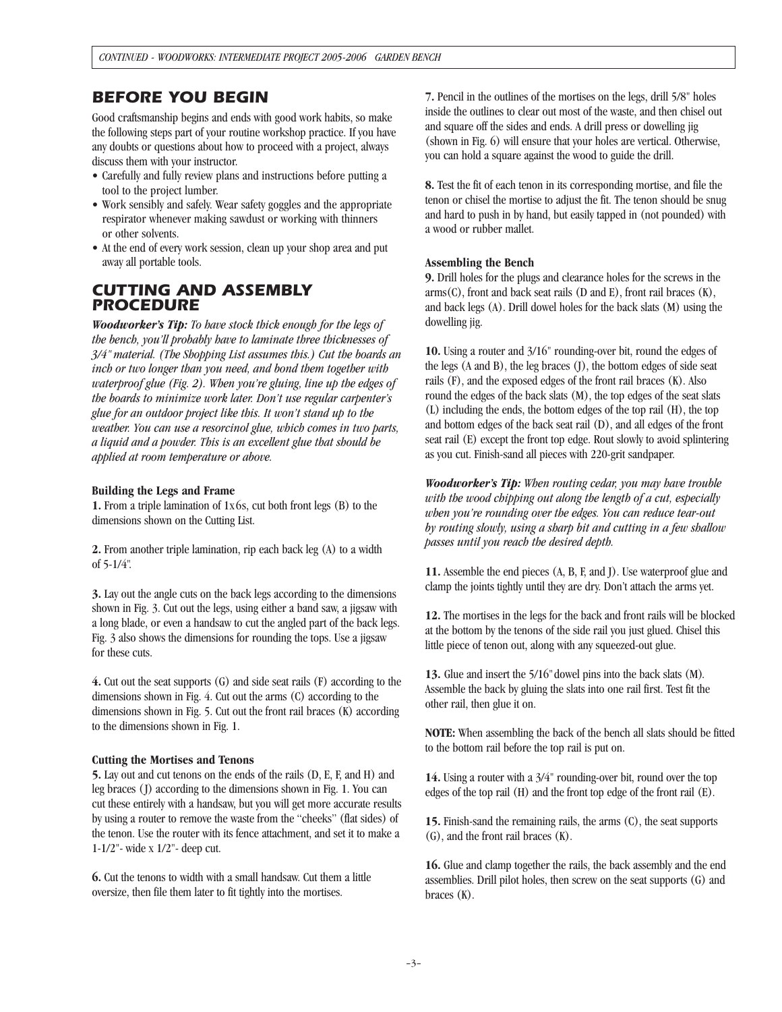## *BEFORE YOU BEGIN*

Good craftsmanship begins and ends with good work habits, so make the following steps part of your routine workshop practice. If you have any doubts or questions about how to proceed with a project, always discuss them with your instructor.

- Carefully and fully review plans and instructions before putting a tool to the project lumber.
- Work sensibly and safely. Wear safety goggles and the appropriate respirator whenever making sawdust or working with thinners or other solvents.
- At the end of every work session, clean up your shop area and put away all portable tools.

## *CUTTING AND ASSEMBLY PROCEDURE*

*Woodworker's Tip: To have stock thick enough for the legs of the bench, you'll probably have to laminate three thicknesses of 3/4" material. (The Shopping List assumes this.) Cut the boards an inch or two longer than you need, and bond them together with waterproof glue (Fig. 2). When you're gluing, line up the edges of the boards to minimize work later. Don't use regular carpenter's glue for an outdoor project like this. It won't stand up to the weather. You can use a resorcinol glue, which comes in two parts, a liquid and a powder. This is an excellent glue that should be applied at room temperature or above.*

#### **Building the Legs and Frame**

**1.** From a triple lamination of 1x6s, cut both front legs (B) to the dimensions shown on the Cutting List.

**2.** From another triple lamination, rip each back leg (A) to a width of 5-1/4".

**3.** Lay out the angle cuts on the back legs according to the dimensions shown in Fig. 3. Cut out the legs, using either a band saw, a jigsaw with a long blade, or even a handsaw to cut the angled part of the back legs. Fig. 3 also shows the dimensions for rounding the tops. Use a jigsaw for these cuts.

**4.** Cut out the seat supports (G) and side seat rails (F) according to the dimensions shown in Fig. 4. Cut out the arms (C) according to the dimensions shown in Fig. 5. Cut out the front rail braces (K) according to the dimensions shown in Fig. 1.

## **Cutting the Mortises and Tenons**

**5.** Lay out and cut tenons on the ends of the rails (D, E, F, and H) and leg braces (J) according to the dimensions shown in Fig. 1. You can cut these entirely with a handsaw, but you will get more accurate results by using a router to remove the waste from the "cheeks" (flat sides) of the tenon. Use the router with its fence attachment, and set it to make a 1-1/2"- wide x 1/2"- deep cut.

**6.** Cut the tenons to width with a small handsaw. Cut them a little oversize, then file them later to fit tightly into the mortises.

**7.** Pencil in the outlines of the mortises on the legs, drill 5/8" holes inside the outlines to clear out most of the waste, and then chisel out and square off the sides and ends. A drill press or dowelling jig (shown in Fig. 6) will ensure that your holes are vertical. Otherwise, you can hold a square against the wood to guide the drill.

**8.** Test the fit of each tenon in its corresponding mortise, and file the tenon or chisel the mortise to adjust the fit. The tenon should be snug and hard to push in by hand, but easily tapped in (not pounded) with a wood or rubber mallet.

#### **Assembling the Bench**

**9.** Drill holes for the plugs and clearance holes for the screws in the arms(C), front and back seat rails (D and E), front rail braces (K), and back legs (A). Drill dowel holes for the back slats (M) using the dowelling jig.

**10.** Using a router and 3/16" rounding-over bit, round the edges of the legs (A and B), the leg braces (J), the bottom edges of side seat rails (F), and the exposed edges of the front rail braces (K). Also round the edges of the back slats (M), the top edges of the seat slats (L) including the ends, the bottom edges of the top rail (H), the top and bottom edges of the back seat rail (D), and all edges of the front seat rail (E) except the front top edge. Rout slowly to avoid splintering as you cut. Finish-sand all pieces with 220-grit sandpaper.

*Woodworker's Tip: When routing cedar, you may have trouble with the wood chipping out along the length of a cut, especially when you're rounding over the edges. You can reduce tear-out by routing slowly, using a sharp bit and cutting in a few shallow passes until you reach the desired depth.*

**11.** Assemble the end pieces (A, B, F, and J). Use waterproof glue and clamp the joints tightly until they are dry. Don't attach the arms yet.

**12.** The mortises in the legs for the back and front rails will be blocked at the bottom by the tenons of the side rail you just glued. Chisel this little piece of tenon out, along with any squeezed-out glue.

**13.** Glue and insert the 5/16"dowel pins into the back slats (M). Assemble the back by gluing the slats into one rail first. Test fit the other rail, then glue it on.

**NOTE:** When assembling the back of the bench all slats should be fitted to the bottom rail before the top rail is put on.

**14.** Using a router with a 3/4" rounding-over bit, round over the top edges of the top rail (H) and the front top edge of the front rail (E).

**15.** Finish-sand the remaining rails, the arms (C), the seat supports (G), and the front rail braces (K).

**16.** Glue and clamp together the rails, the back assembly and the end assemblies. Drill pilot holes, then screw on the seat supports (G) and braces (K).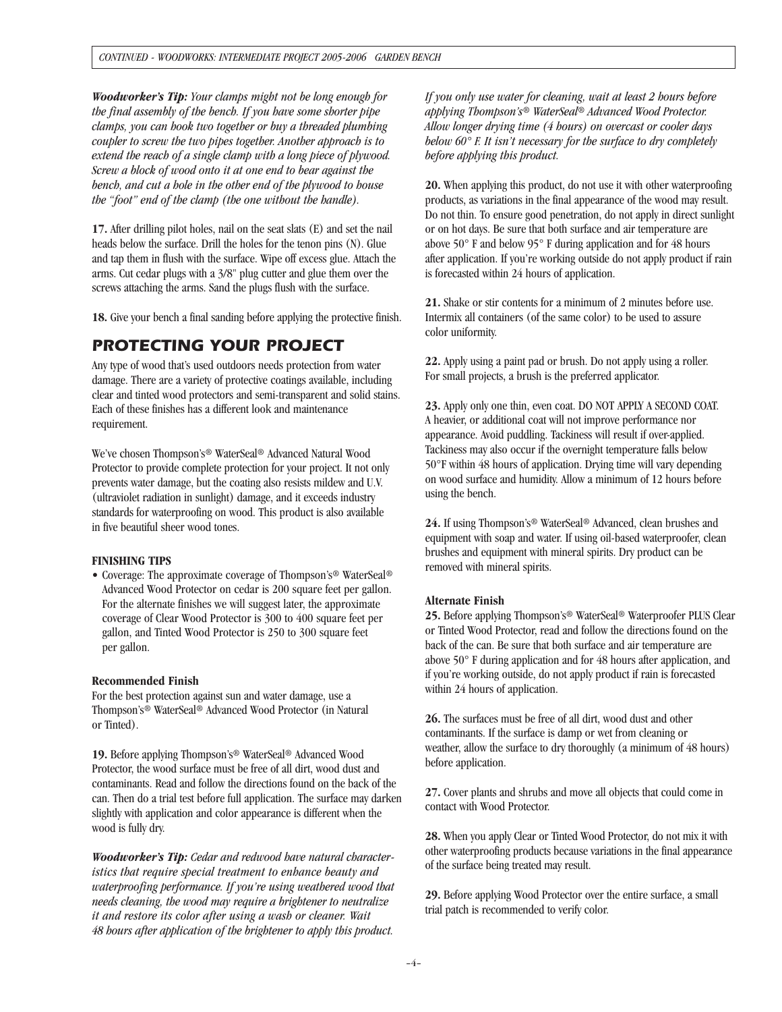*Woodworker's Tip: Your clamps might not be long enough for the final assembly of the bench. If you have some shorter pipe clamps, you can hook two together or buy a threaded plumbing coupler to screw the two pipes together. Another approach is to extend the reach of a single clamp with a long piece of plywood. Screw a block of wood onto it at one end to bear against the bench, and cut a hole in the other end of the plywood to house the "foot" end of the clamp (the one without the handle).*

**17.** After drilling pilot holes, nail on the seat slats (E) and set the nail heads below the surface. Drill the holes for the tenon pins (N). Glue and tap them in flush with the surface. Wipe off excess glue. Attach the arms. Cut cedar plugs with a 3/8" plug cutter and glue them over the screws attaching the arms. Sand the plugs flush with the surface.

**18.** Give your bench a final sanding before applying the protective finish.

## *PROTECTING YOUR PROJECT*

Any type of wood that's used outdoors needs protection from water damage. There are a variety of protective coatings available, including clear and tinted wood protectors and semi-transparent and solid stains. Each of these finishes has a different look and maintenance requirement.

We've chosen Thompson's® WaterSeal® Advanced Natural Wood Protector to provide complete protection for your project. It not only prevents water damage, but the coating also resists mildew and U.V. (ultraviolet radiation in sunlight) damage, and it exceeds industry standards for waterproofing on wood. This product is also available in five beautiful sheer wood tones.

#### **FINISHING TIPS**

• Coverage: The approximate coverage of Thompson's® WaterSeal® Advanced Wood Protector on cedar is 200 square feet per gallon. For the alternate finishes we will suggest later, the approximate coverage of Clear Wood Protector is 300 to 400 square feet per gallon, and Tinted Wood Protector is 250 to 300 square feet per gallon.

## **Recommended Finish**

For the best protection against sun and water damage, use a Thompson's® WaterSeal® Advanced Wood Protector (in Natural or Tinted).

**19.** Before applying Thompson's® WaterSeal® Advanced Wood Protector, the wood surface must be free of all dirt, wood dust and contaminants. Read and follow the directions found on the back of the can. Then do a trial test before full application. The surface may darken slightly with application and color appearance is different when the wood is fully dry.

*Woodworker's Tip: Cedar and redwood have natural characteristics that require special treatment to enhance beauty and waterproofing performance. If you're using weathered wood that needs cleaning, the wood may require a brightener to neutralize it and restore its color after using a wash or cleaner. Wait 48 hours after application of the brightener to apply this product.*

*If you only use water for cleaning, wait at least 2 hours before applying Thompson's® WaterSeal® Advanced Wood Protector. Allow longer drying time (4 hours) on overcast or cooler days below 60° F. It isn't necessary for the surface to dry completely before applying this product.*

**20.** When applying this product, do not use it with other waterproofing products, as variations in the final appearance of the wood may result. Do not thin. To ensure good penetration, do not apply in direct sunlight or on hot days. Be sure that both surface and air temperature are above 50° F and below 95° F during application and for 48 hours after application. If you're working outside do not apply product if rain is forecasted within 24 hours of application.

**21.** Shake or stir contents for a minimum of 2 minutes before use. Intermix all containers (of the same color) to be used to assure color uniformity.

**22.** Apply using a paint pad or brush. Do not apply using a roller. For small projects, a brush is the preferred applicator.

**23.** Apply only one thin, even coat. DO NOT APPLY A SECOND COAT. A heavier, or additional coat will not improve performance nor appearance. Avoid puddling. Tackiness will result if over-applied. Tackiness may also occur if the overnight temperature falls below 50°F within 48 hours of application. Drying time will vary depending on wood surface and humidity. Allow a minimum of 12 hours before using the bench.

**24.** If using Thompson's® WaterSeal® Advanced, clean brushes and equipment with soap and water. If using oil-based waterproofer, clean brushes and equipment with mineral spirits. Dry product can be removed with mineral spirits.

## **Alternate Finish**

25. Before applying Thompson's<sup>®</sup> WaterSeal<sup>®</sup> Waterproofer PLUS Clear or Tinted Wood Protector, read and follow the directions found on the back of the can. Be sure that both surface and air temperature are above 50° F during application and for 48 hours after application, and if you're working outside, do not apply product if rain is forecasted within 24 hours of application.

**26.** The surfaces must be free of all dirt, wood dust and other contaminants. If the surface is damp or wet from cleaning or weather, allow the surface to dry thoroughly (a minimum of 48 hours) before application.

**27.** Cover plants and shrubs and move all objects that could come in contact with Wood Protector.

**28.** When you apply Clear or Tinted Wood Protector, do not mix it with other waterproofing products because variations in the final appearance of the surface being treated may result.

**29.** Before applying Wood Protector over the entire surface, a small trial patch is recommended to verify color.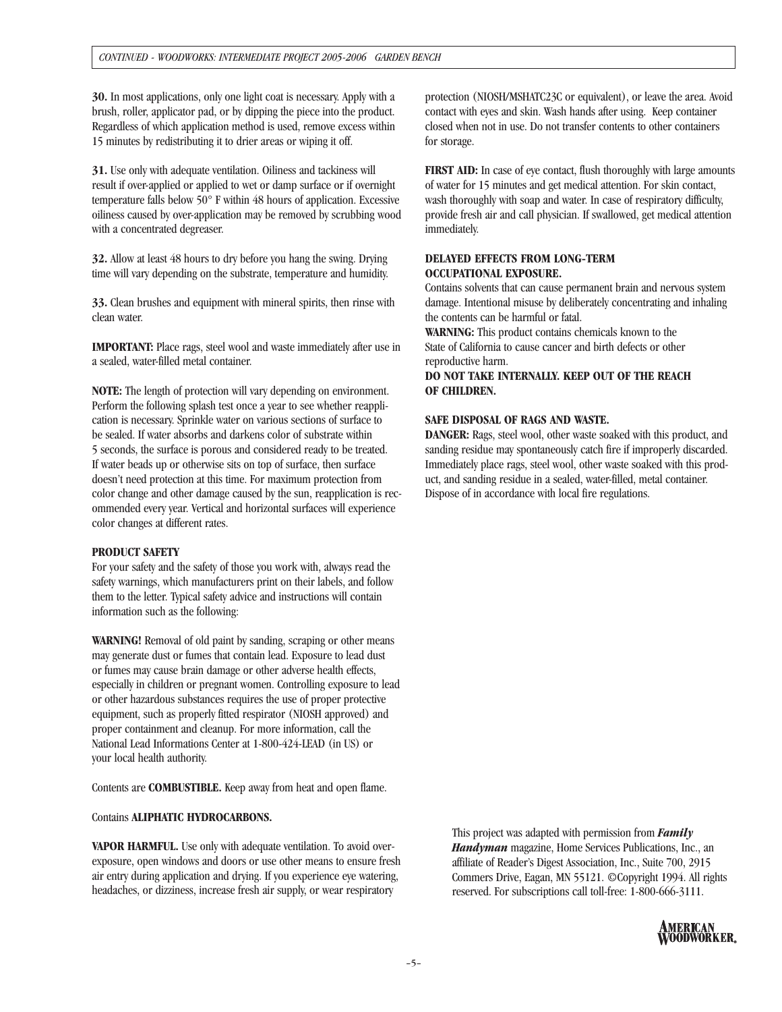**30.** In most applications, only one light coat is necessary. Apply with a brush, roller, applicator pad, or by dipping the piece into the product. Regardless of which application method is used, remove excess within 15 minutes by redistributing it to drier areas or wiping it off.

**31.** Use only with adequate ventilation. Oiliness and tackiness will result if over-applied or applied to wet or damp surface or if overnight temperature falls below 50° F within 48 hours of application. Excessive oiliness caused by over-application may be removed by scrubbing wood with a concentrated degreaser.

**32.** Allow at least 48 hours to dry before you hang the swing. Drying time will vary depending on the substrate, temperature and humidity.

**33.** Clean brushes and equipment with mineral spirits, then rinse with clean water.

**IMPORTANT:** Place rags, steel wool and waste immediately after use in a sealed, water-filled metal container.

**NOTE:** The length of protection will vary depending on environment. Perform the following splash test once a year to see whether reapplication is necessary. Sprinkle water on various sections of surface to be sealed. If water absorbs and darkens color of substrate within 5 seconds, the surface is porous and considered ready to be treated. If water beads up or otherwise sits on top of surface, then surface doesn't need protection at this time. For maximum protection from color change and other damage caused by the sun, reapplication is recommended every year. Vertical and horizontal surfaces will experience color changes at different rates.

## **PRODUCT SAFETY**

For your safety and the safety of those you work with, always read the safety warnings, which manufacturers print on their labels, and follow them to the letter. Typical safety advice and instructions will contain information such as the following:

**WARNING!** Removal of old paint by sanding, scraping or other means may generate dust or fumes that contain lead. Exposure to lead dust or fumes may cause brain damage or other adverse health effects, especially in children or pregnant women. Controlling exposure to lead or other hazardous substances requires the use of proper protective equipment, such as properly fitted respirator (NIOSH approved) and proper containment and cleanup. For more information, call the National Lead Informations Center at 1-800-424-LEAD (in US) or your local health authority.

Contents are **COMBUSTIBLE.** Keep away from heat and open flame.

## Contains **ALIPHATIC HYDROCARBONS.**

**VAPOR HARMFUL.** Use only with adequate ventilation. To avoid overexposure, open windows and doors or use other means to ensure fresh air entry during application and drying. If you experience eye watering, headaches, or dizziness, increase fresh air supply, or wear respiratory

protection (NIOSH/MSHATC23C or equivalent), or leave the area. Avoid contact with eyes and skin. Wash hands after using. Keep container closed when not in use. Do not transfer contents to other containers for storage.

**FIRST AID:** In case of eye contact, flush thoroughly with large amounts of water for 15 minutes and get medical attention. For skin contact, wash thoroughly with soap and water. In case of respiratory difficulty, provide fresh air and call physician. If swallowed, get medical attention immediately.

## **DELAYED EFFECTS FROM LONG-TERM OCCUPATIONAL EXPOSURE.**

Contains solvents that can cause permanent brain and nervous system damage. Intentional misuse by deliberately concentrating and inhaling the contents can be harmful or fatal.

**WARNING:** This product contains chemicals known to the State of California to cause cancer and birth defects or other reproductive harm.

**DO NOT TAKE INTERNALLY. KEEP OUT OF THE REACH OF CHILDREN.**

## **SAFE DISPOSAL OF RAGS AND WASTE.**

**DANGER:** Rags, steel wool, other waste soaked with this product, and sanding residue may spontaneously catch fire if improperly discarded. Immediately place rags, steel wool, other waste soaked with this product, and sanding residue in a sealed, water-filled, metal container. Dispose of in accordance with local fire regulations.

This project was adapted with permission from *Family Handyman* magazine, Home Services Publications, Inc., an affiliate of Reader's Digest Association, Inc., Suite 700, 2915 Commers Drive, Eagan, MN 55121. ©Copyright 1994. All rights reserved. For subscriptions call toll-free: 1-800-666-3111.

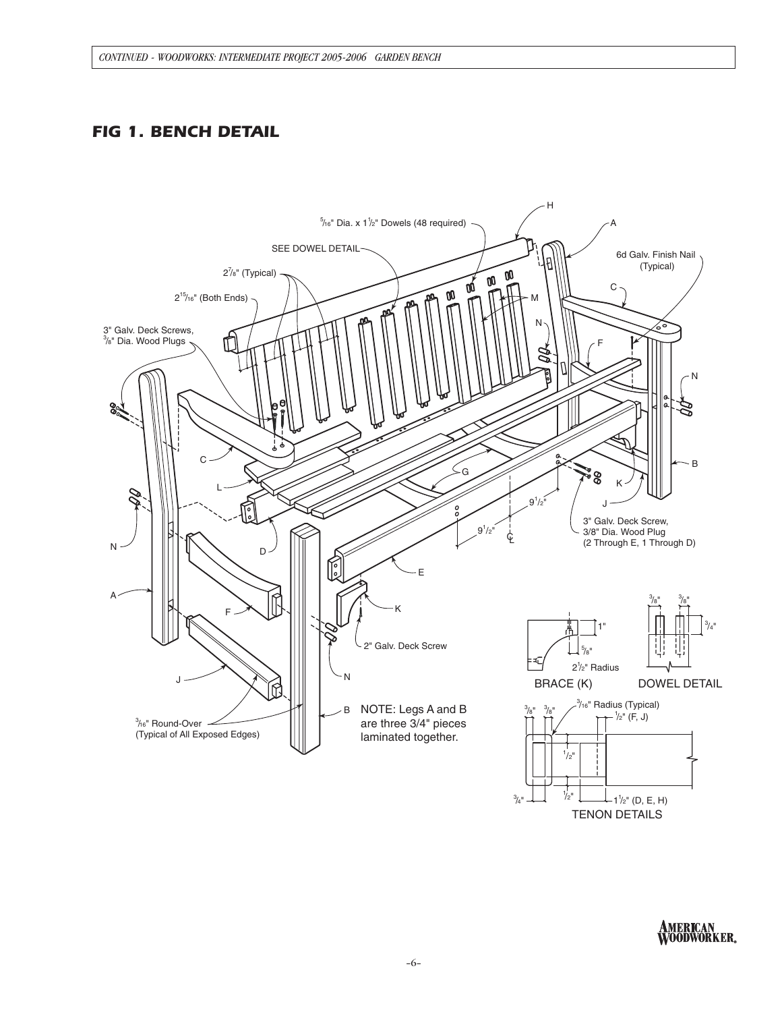# *FIG 1. BENCH DETAIL*



AMERICAN<br>WOODWORKER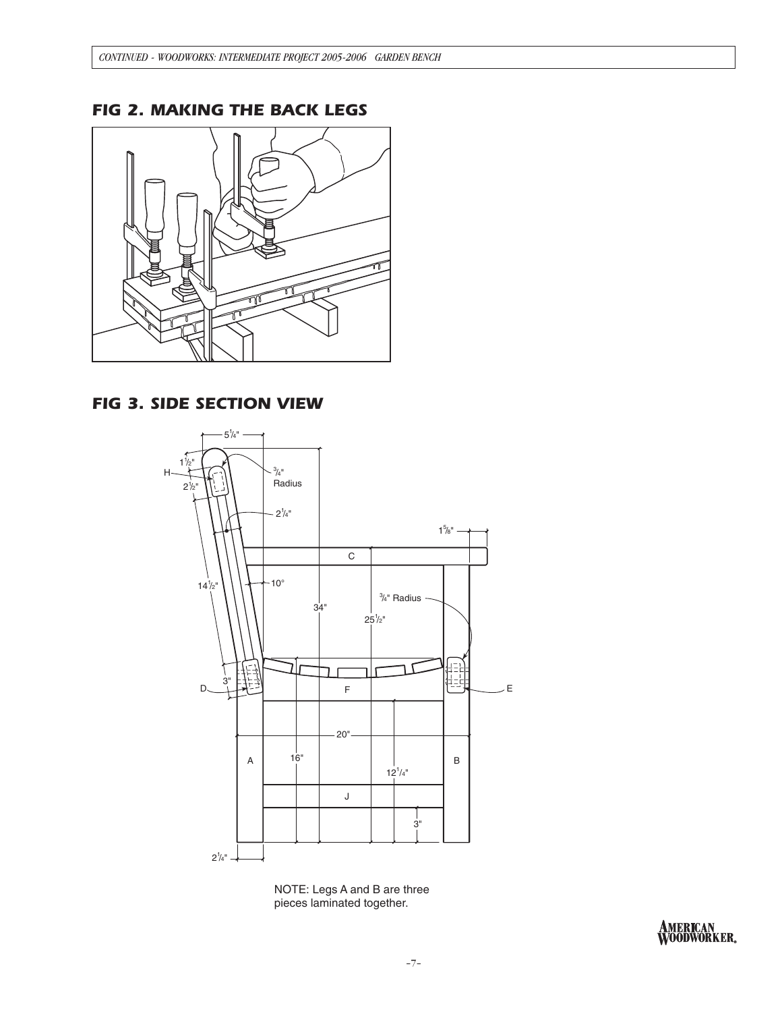# *FIG 2. MAKING THE BACK LEGS*



# *FIG 3. SIDE SECTION VIEW*



NOTE: Legs A and B are three pieces laminated together.

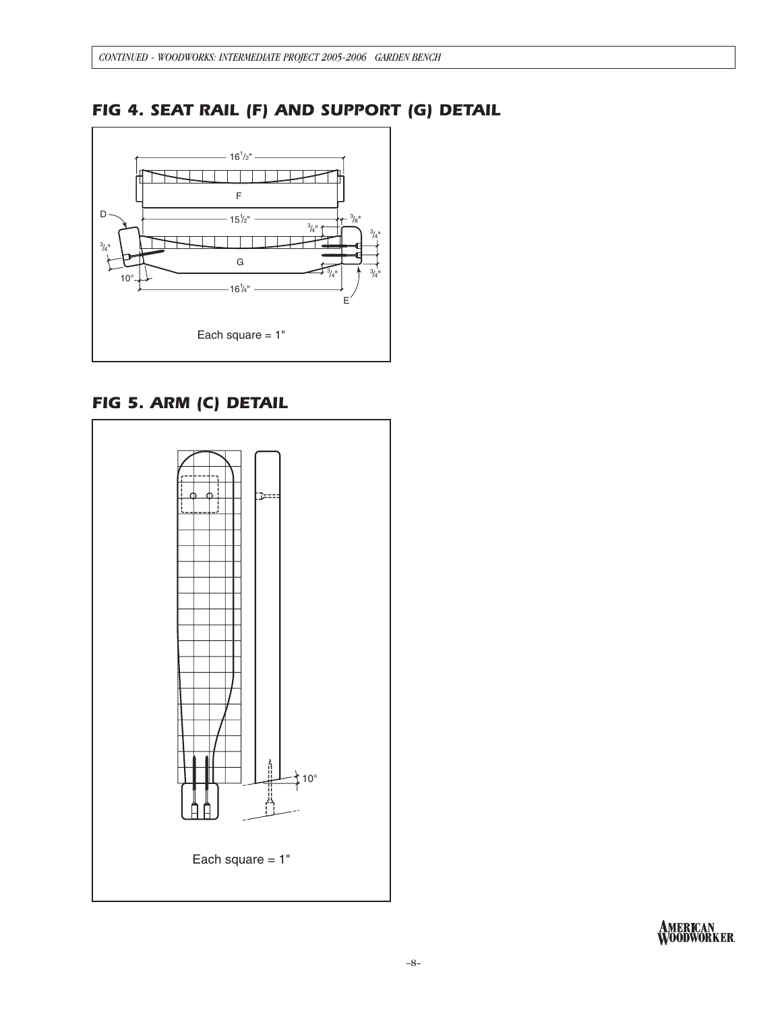# *FIG 4. SEAT RAIL (F) AND SUPPORT (G) DETAIL*



# *FIG 5. ARM (C) DETAIL*